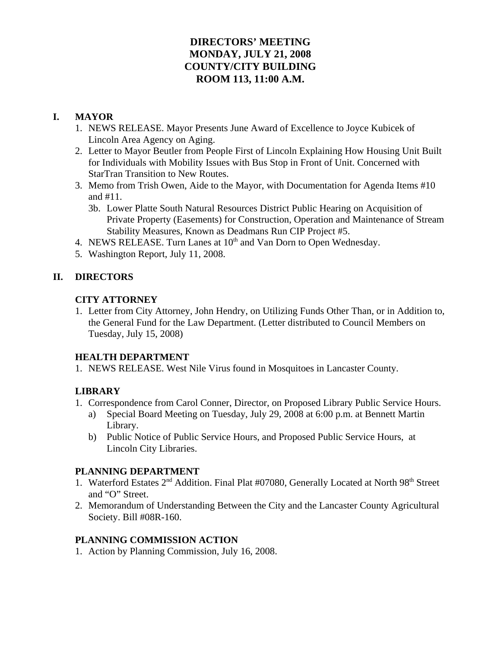# **DIRECTORS' MEETING MONDAY, JULY 21, 2008 COUNTY/CITY BUILDING ROOM 113, 11:00 A.M.**

# **I. MAYOR**

- 1. NEWS RELEASE. Mayor Presents June Award of Excellence to Joyce Kubicek of Lincoln Area Agency on Aging.
- 2. Letter to Mayor Beutler from People First of Lincoln Explaining How Housing Unit Built for Individuals with Mobility Issues with Bus Stop in Front of Unit. Concerned with StarTran Transition to New Routes.
- 3. Memo from Trish Owen, Aide to the Mayor, with Documentation for Agenda Items #10 and #11.
	- 3b. Lower Platte South Natural Resources District Public Hearing on Acquisition of Private Property (Easements) for Construction, Operation and Maintenance of Stream Stability Measures, Known as Deadmans Run CIP Project #5.
- 4. NEWS RELEASE. Turn Lanes at 10<sup>th</sup> and Van Dorn to Open Wednesday.
- 5. Washington Report, July 11, 2008.

# **II. DIRECTORS**

#### **CITY ATTORNEY**

1. Letter from City Attorney, John Hendry, on Utilizing Funds Other Than, or in Addition to, the General Fund for the Law Department. (Letter distributed to Council Members on Tuesday, July 15, 2008)

#### **HEALTH DEPARTMENT**

1. NEWS RELEASE. West Nile Virus found in Mosquitoes in Lancaster County.

# **LIBRARY**

- 1. Correspondence from Carol Conner, Director, on Proposed Library Public Service Hours.
	- a) Special Board Meeting on Tuesday, July 29, 2008 at 6:00 p.m. at Bennett Martin Library.
	- b) Public Notice of Public Service Hours, and Proposed Public Service Hours, at Lincoln City Libraries.

#### **PLANNING DEPARTMENT**

- 1. Waterford Estates 2<sup>nd</sup> Addition. Final Plat #07080, Generally Located at North 98<sup>th</sup> Street and "O" Street.
- 2. Memorandum of Understanding Between the City and the Lancaster County Agricultural Society. Bill #08R-160.

#### **PLANNING COMMISSION ACTION**

1. Action by Planning Commission, July 16, 2008.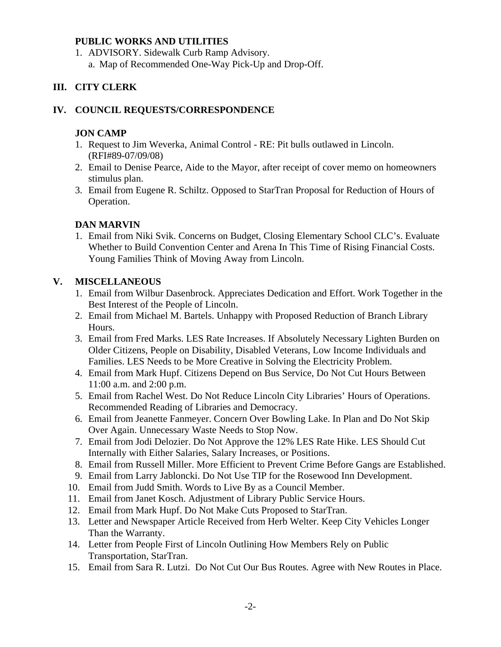#### **PUBLIC WORKS AND UTILITIES**

1. ADVISORY. Sidewalk Curb Ramp Advisory. a. Map of Recommended One-Way Pick-Up and Drop-Off.

# **III. CITY CLERK**

#### **IV. COUNCIL REQUESTS/CORRESPONDENCE**

### **JON CAMP**

- 1. Request to Jim Weverka, Animal Control RE: Pit bulls outlawed in Lincoln. (RFI#89-07/09/08)
- 2. Email to Denise Pearce, Aide to the Mayor, after receipt of cover memo on homeowners stimulus plan.
- 3. Email from Eugene R. Schiltz. Opposed to StarTran Proposal for Reduction of Hours of Operation.

# **DAN MARVIN**

1. Email from Niki Svik. Concerns on Budget, Closing Elementary School CLC's. Evaluate Whether to Build Convention Center and Arena In This Time of Rising Financial Costs. Young Families Think of Moving Away from Lincoln.

# **V. MISCELLANEOUS**

- 1. Email from Wilbur Dasenbrock. Appreciates Dedication and Effort. Work Together in the Best Interest of the People of Lincoln.
- 2. Email from Michael M. Bartels. Unhappy with Proposed Reduction of Branch Library Hours.
- 3. Email from Fred Marks. LES Rate Increases. If Absolutely Necessary Lighten Burden on Older Citizens, People on Disability, Disabled Veterans, Low Income Individuals and Families. LES Needs to be More Creative in Solving the Electricity Problem.
- 4. Email from Mark Hupf. Citizens Depend on Bus Service, Do Not Cut Hours Between 11:00 a.m. and 2:00 p.m.
- 5. Email from Rachel West. Do Not Reduce Lincoln City Libraries' Hours of Operations. Recommended Reading of Libraries and Democracy.
- 6. Email from Jeanette Fanmeyer. Concern Over Bowling Lake. In Plan and Do Not Skip Over Again. Unnecessary Waste Needs to Stop Now.
- 7. Email from Jodi Delozier. Do Not Approve the 12% LES Rate Hike. LES Should Cut Internally with Either Salaries, Salary Increases, or Positions.
- 8. Email from Russell Miller. More Efficient to Prevent Crime Before Gangs are Established.
- 9. Email from Larry Jabloncki. Do Not Use TIP for the Rosewood Inn Development.
- 10. Email from Judd Smith. Words to Live By as a Council Member.
- 11. Email from Janet Kosch. Adjustment of Library Public Service Hours.
- 12. Email from Mark Hupf. Do Not Make Cuts Proposed to StarTran.
- 13. Letter and Newspaper Article Received from Herb Welter. Keep City Vehicles Longer Than the Warranty.
- 14. Letter from People First of Lincoln Outlining How Members Rely on Public Transportation, StarTran.
- 15. Email from Sara R. Lutzi. Do Not Cut Our Bus Routes. Agree with New Routes in Place.